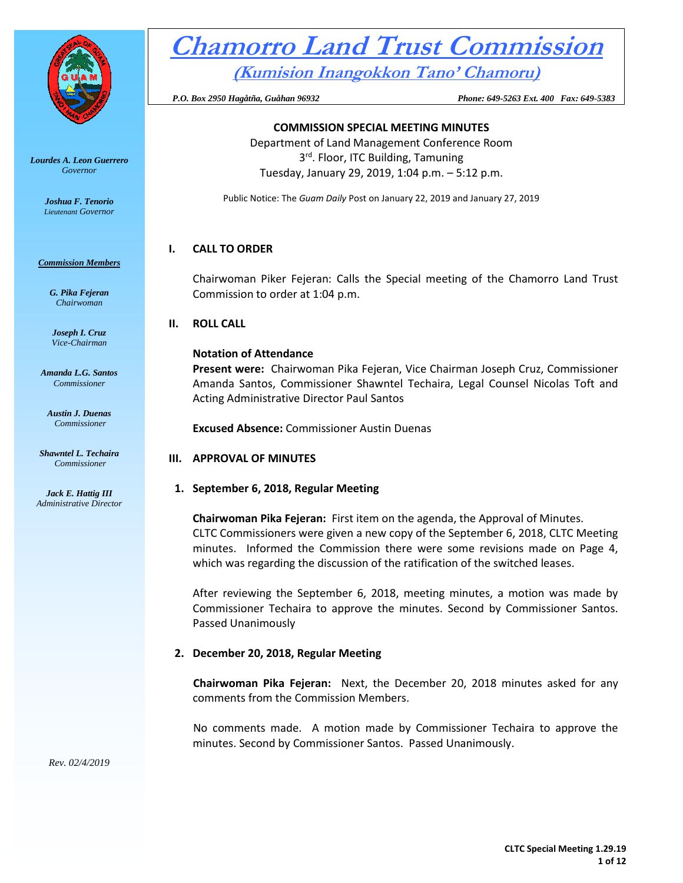

#### *Lourdes A. Leon Guerrero Governor*

*Joshua F. Tenorio Lieutenant Governor* 

#### *Commission Members*

*G. Pika Fejeran Chairwoman*

*Joseph I. Cruz Vice-Chairman*

*Amanda L.G. Santos Commissioner*

*Austin J. Duenas Commissioner*

*Shawntel L. Techaira Commissioner*

*Jack E. Hattig III Administrative Director*

# **Chamorro Land Trust Commission**

**(Kumision Inangokkon Tano' Chamoru)**

 *P.O. Box 2950 Hagåtña, Guåhan 96932 Phone: 649-5263 Ext. 400 Fax: 649-5383*

# **COMMISSION SPECIAL MEETING MINUTES**

Department of Land Management Conference Room 3<sup>rd</sup>. Floor, ITC Building, Tamuning Tuesday, January 29, 2019, 1:04 p.m. – 5:12 p.m.

Public Notice: The *Guam Daily* Post on January 22, 2019 and January 27, 2019

# **I. CALL TO ORDER**

Chairwoman Piker Fejeran: Calls the Special meeting of the Chamorro Land Trust Commission to order at 1:04 p.m.

# **II. ROLL CALL**

#### **Notation of Attendance**

**Present were:** Chairwoman Pika Fejeran, Vice Chairman Joseph Cruz, Commissioner Amanda Santos, Commissioner Shawntel Techaira, Legal Counsel Nicolas Toft and Acting Administrative Director Paul Santos

**Excused Absence:** Commissioner Austin Duenas

# **III. APPROVAL OF MINUTES**

# **1. September 6, 2018, Regular Meeting**

**Chairwoman Pika Fejeran:** First item on the agenda, the Approval of Minutes. CLTC Commissioners were given a new copy of the September 6, 2018, CLTC Meeting minutes. Informed the Commission there were some revisions made on Page 4, which was regarding the discussion of the ratification of the switched leases.

After reviewing the September 6, 2018, meeting minutes, a motion was made by Commissioner Techaira to approve the minutes. Second by Commissioner Santos. Passed Unanimously

# **2. December 20, 2018, Regular Meeting**

**Chairwoman Pika Fejeran:** Next, the December 20, 2018 minutes asked for any comments from the Commission Members.

No comments made. A motion made by Commissioner Techaira to approve the minutes. Second by Commissioner Santos. Passed Unanimously.

*Rev. 02/4/2019*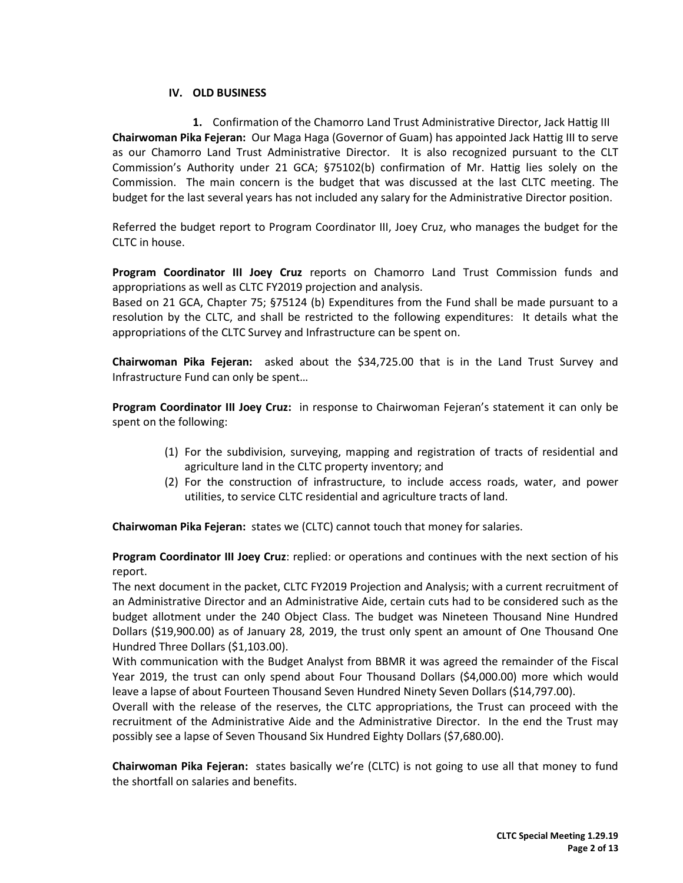# **IV. OLD BUSINESS**

**1.** Confirmation of the Chamorro Land Trust Administrative Director, Jack Hattig III **Chairwoman Pika Fejeran:** Our Maga Haga (Governor of Guam) has appointed Jack Hattig III to serve as our Chamorro Land Trust Administrative Director. It is also recognized pursuant to the CLT Commission's Authority under 21 GCA; §75102(b) confirmation of Mr. Hattig lies solely on the Commission. The main concern is the budget that was discussed at the last CLTC meeting. The budget for the last several years has not included any salary for the Administrative Director position.

Referred the budget report to Program Coordinator III, Joey Cruz, who manages the budget for the CLTC in house.

**Program Coordinator III Joey Cruz** reports on Chamorro Land Trust Commission funds and appropriations as well as CLTC FY2019 projection and analysis.

Based on 21 GCA, Chapter 75; §75124 (b) Expenditures from the Fund shall be made pursuant to a resolution by the CLTC, and shall be restricted to the following expenditures: It details what the appropriations of the CLTC Survey and Infrastructure can be spent on.

**Chairwoman Pika Fejeran:** asked about the \$34,725.00 that is in the Land Trust Survey and Infrastructure Fund can only be spent…

**Program Coordinator III Joey Cruz:** in response to Chairwoman Fejeran's statement it can only be spent on the following:

- (1) For the subdivision, surveying, mapping and registration of tracts of residential and agriculture land in the CLTC property inventory; and
- (2) For the construction of infrastructure, to include access roads, water, and power utilities, to service CLTC residential and agriculture tracts of land.

**Chairwoman Pika Fejeran:** states we (CLTC) cannot touch that money for salaries.

**Program Coordinator III Joey Cruz**: replied: or operations and continues with the next section of his report.

The next document in the packet, CLTC FY2019 Projection and Analysis; with a current recruitment of an Administrative Director and an Administrative Aide, certain cuts had to be considered such as the budget allotment under the 240 Object Class. The budget was Nineteen Thousand Nine Hundred Dollars (\$19,900.00) as of January 28, 2019, the trust only spent an amount of One Thousand One Hundred Three Dollars (\$1,103.00).

With communication with the Budget Analyst from BBMR it was agreed the remainder of the Fiscal Year 2019, the trust can only spend about Four Thousand Dollars (\$4,000.00) more which would leave a lapse of about Fourteen Thousand Seven Hundred Ninety Seven Dollars (\$14,797.00).

Overall with the release of the reserves, the CLTC appropriations, the Trust can proceed with the recruitment of the Administrative Aide and the Administrative Director. In the end the Trust may possibly see a lapse of Seven Thousand Six Hundred Eighty Dollars (\$7,680.00).

**Chairwoman Pika Fejeran:** states basically we're (CLTC) is not going to use all that money to fund the shortfall on salaries and benefits.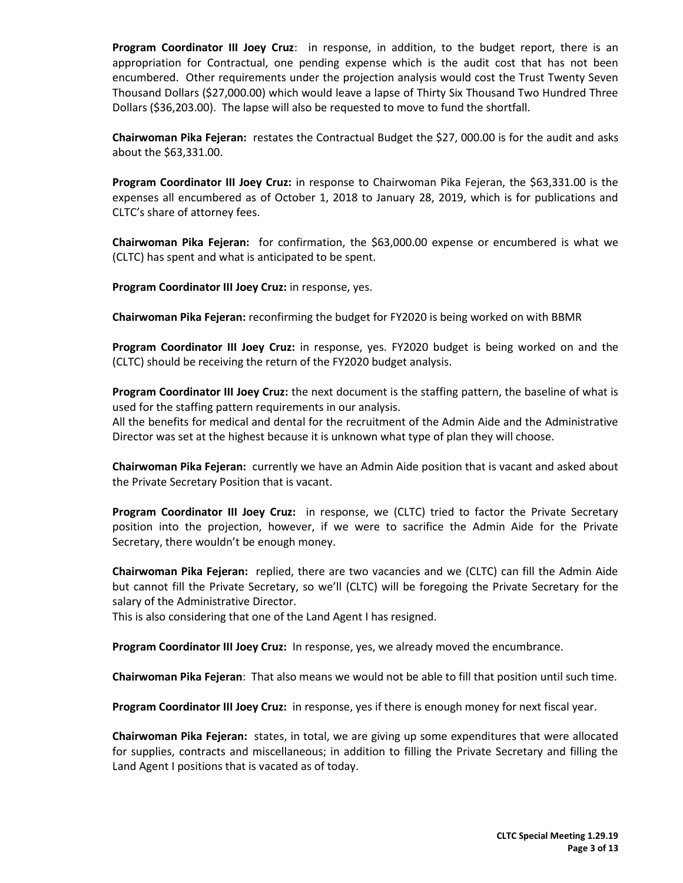**Program Coordinator III Joey Cruz**: in response, in addition, to the budget report, there is an appropriation for Contractual, one pending expense which is the audit cost that has not been encumbered. Other requirements under the projection analysis would cost the Trust Twenty Seven Thousand Dollars (\$27,000.00) which would leave a lapse of Thirty Six Thousand Two Hundred Three Dollars (\$36,203.00). The lapse will also be requested to move to fund the shortfall.

**Chairwoman Pika Fejeran:** restates the Contractual Budget the \$27, 000.00 is for the audit and asks about the \$63,331.00.

**Program Coordinator III Joey Cruz:** in response to Chairwoman Pika Fejeran, the \$63,331.00 is the expenses all encumbered as of October 1, 2018 to January 28, 2019, which is for publications and CLTC's share of attorney fees.

**Chairwoman Pika Fejeran:** for confirmation, the \$63,000.00 expense or encumbered is what we (CLTC) has spent and what is anticipated to be spent.

**Program Coordinator III Joey Cruz:** in response, yes.

**Chairwoman Pika Fejeran:** reconfirming the budget for FY2020 is being worked on with BBMR

**Program Coordinator III Joey Cruz:** in response, yes. FY2020 budget is being worked on and the (CLTC) should be receiving the return of the FY2020 budget analysis.

**Program Coordinator III Joey Cruz:** the next document is the staffing pattern, the baseline of what is used for the staffing pattern requirements in our analysis.

All the benefits for medical and dental for the recruitment of the Admin Aide and the Administrative Director was set at the highest because it is unknown what type of plan they will choose.

**Chairwoman Pika Fejeran:** currently we have an Admin Aide position that is vacant and asked about the Private Secretary Position that is vacant.

**Program Coordinator III Joey Cruz:** in response, we (CLTC) tried to factor the Private Secretary position into the projection, however, if we were to sacrifice the Admin Aide for the Private Secretary, there wouldn't be enough money.

**Chairwoman Pika Fejeran:** replied, there are two vacancies and we (CLTC) can fill the Admin Aide but cannot fill the Private Secretary, so we'll (CLTC) will be foregoing the Private Secretary for the salary of the Administrative Director.

This is also considering that one of the Land Agent I has resigned.

**Program Coordinator III Joey Cruz:** In response, yes, we already moved the encumbrance.

**Chairwoman Pika Fejeran**: That also means we would not be able to fill that position until such time.

**Program Coordinator III Joey Cruz:** in response, yes if there is enough money for next fiscal year.

**Chairwoman Pika Fejeran:** states, in total, we are giving up some expenditures that were allocated for supplies, contracts and miscellaneous; in addition to filling the Private Secretary and filling the Land Agent I positions that is vacated as of today.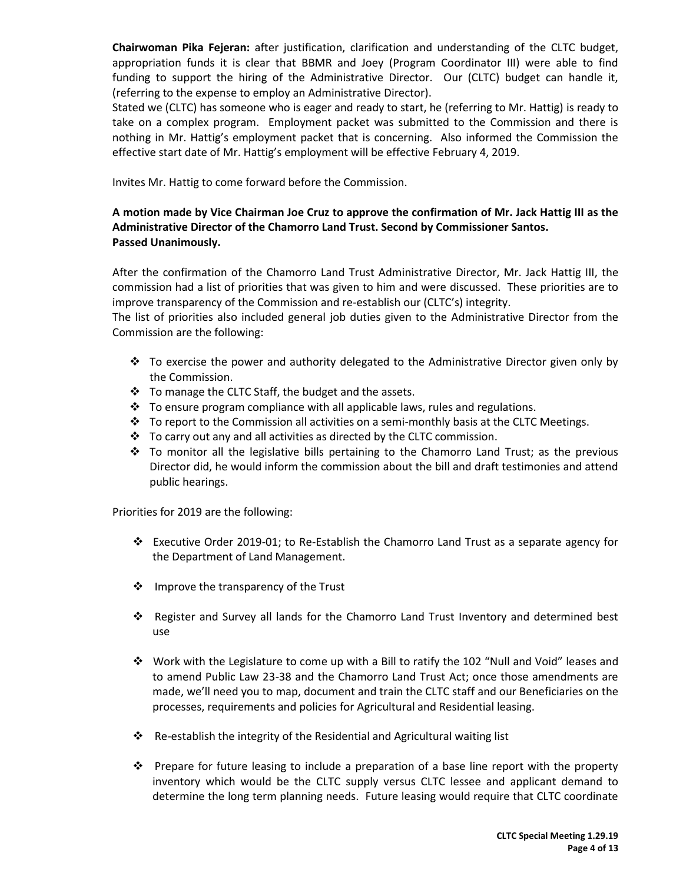**Chairwoman Pika Fejeran:** after justification, clarification and understanding of the CLTC budget, appropriation funds it is clear that BBMR and Joey (Program Coordinator III) were able to find funding to support the hiring of the Administrative Director. Our (CLTC) budget can handle it, (referring to the expense to employ an Administrative Director).

Stated we (CLTC) has someone who is eager and ready to start, he (referring to Mr. Hattig) is ready to take on a complex program. Employment packet was submitted to the Commission and there is nothing in Mr. Hattig's employment packet that is concerning. Also informed the Commission the effective start date of Mr. Hattig's employment will be effective February 4, 2019.

Invites Mr. Hattig to come forward before the Commission.

# **A motion made by Vice Chairman Joe Cruz to approve the confirmation of Mr. Jack Hattig III as the Administrative Director of the Chamorro Land Trust. Second by Commissioner Santos. Passed Unanimously.**

After the confirmation of the Chamorro Land Trust Administrative Director, Mr. Jack Hattig III, the commission had a list of priorities that was given to him and were discussed. These priorities are to improve transparency of the Commission and re-establish our (CLTC's) integrity.

The list of priorities also included general job duties given to the Administrative Director from the Commission are the following:

- $\cdot \cdot$  To exercise the power and authority delegated to the Administrative Director given only by the Commission.
- \* To manage the CLTC Staff, the budget and the assets.
- $\div$  To ensure program compliance with all applicable laws, rules and regulations.
- To report to the Commission all activities on a semi-monthly basis at the CLTC Meetings.
- $\cdot \cdot$  To carry out any and all activities as directed by the CLTC commission.
- $\div$  To monitor all the legislative bills pertaining to the Chamorro Land Trust; as the previous Director did, he would inform the commission about the bill and draft testimonies and attend public hearings.

Priorities for 2019 are the following:

- Executive Order 2019-01; to Re-Establish the Chamorro Land Trust as a separate agency for the Department of Land Management.
- ❖ Improve the transparency of the Trust
- Register and Survey all lands for the Chamorro Land Trust Inventory and determined best use
- Work with the Legislature to come up with a Bill to ratify the 102 "Null and Void" leases and to amend Public Law 23-38 and the Chamorro Land Trust Act; once those amendments are made, we'll need you to map, document and train the CLTC staff and our Beneficiaries on the processes, requirements and policies for Agricultural and Residential leasing.
- $\cdot$  Re-establish the integrity of the Residential and Agricultural waiting list
- **Prepare for future leasing to include a preparation of a base line report with the property** inventory which would be the CLTC supply versus CLTC lessee and applicant demand to determine the long term planning needs. Future leasing would require that CLTC coordinate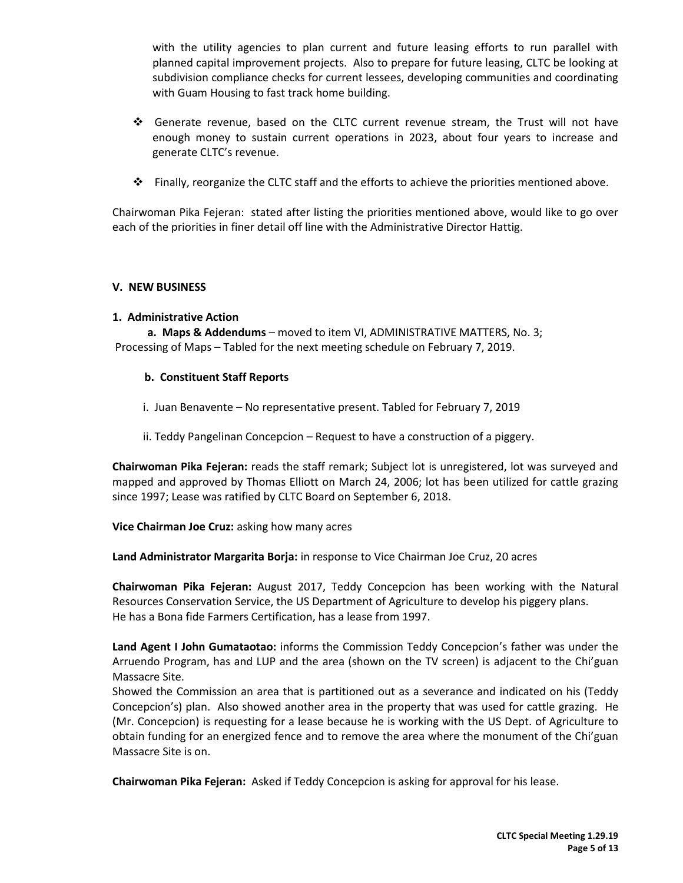with the utility agencies to plan current and future leasing efforts to run parallel with planned capital improvement projects. Also to prepare for future leasing, CLTC be looking at subdivision compliance checks for current lessees, developing communities and coordinating with Guam Housing to fast track home building.

- Generate revenue, based on the CLTC current revenue stream, the Trust will not have enough money to sustain current operations in 2023, about four years to increase and generate CLTC's revenue.
- Finally, reorganize the CLTC staff and the efforts to achieve the priorities mentioned above.

Chairwoman Pika Fejeran: stated after listing the priorities mentioned above, would like to go over each of the priorities in finer detail off line with the Administrative Director Hattig.

# **V. NEW BUSINESS**

#### **1. Administrative Action**

**a. Maps & Addendums** – moved to item VI, ADMINISTRATIVE MATTERS, No. 3; Processing of Maps – Tabled for the next meeting schedule on February 7, 2019.

# **b. Constituent Staff Reports**

- i. Juan Benavente No representative present. Tabled for February 7, 2019
- ii. Teddy Pangelinan Concepcion Request to have a construction of a piggery.

**Chairwoman Pika Fejeran:** reads the staff remark; Subject lot is unregistered, lot was surveyed and mapped and approved by Thomas Elliott on March 24, 2006; lot has been utilized for cattle grazing since 1997; Lease was ratified by CLTC Board on September 6, 2018.

**Vice Chairman Joe Cruz:** asking how many acres

**Land Administrator Margarita Borja:** in response to Vice Chairman Joe Cruz, 20 acres

**Chairwoman Pika Fejeran:** August 2017, Teddy Concepcion has been working with the Natural Resources Conservation Service, the US Department of Agriculture to develop his piggery plans. He has a Bona fide Farmers Certification, has a lease from 1997.

**Land Agent I John Gumataotao:** informs the Commission Teddy Concepcion's father was under the Arruendo Program, has and LUP and the area (shown on the TV screen) is adjacent to the Chi'guan Massacre Site.

Showed the Commission an area that is partitioned out as a severance and indicated on his (Teddy Concepcion's) plan. Also showed another area in the property that was used for cattle grazing. He (Mr. Concepcion) is requesting for a lease because he is working with the US Dept. of Agriculture to obtain funding for an energized fence and to remove the area where the monument of the Chi'guan Massacre Site is on.

**Chairwoman Pika Fejeran:** Asked if Teddy Concepcion is asking for approval for his lease.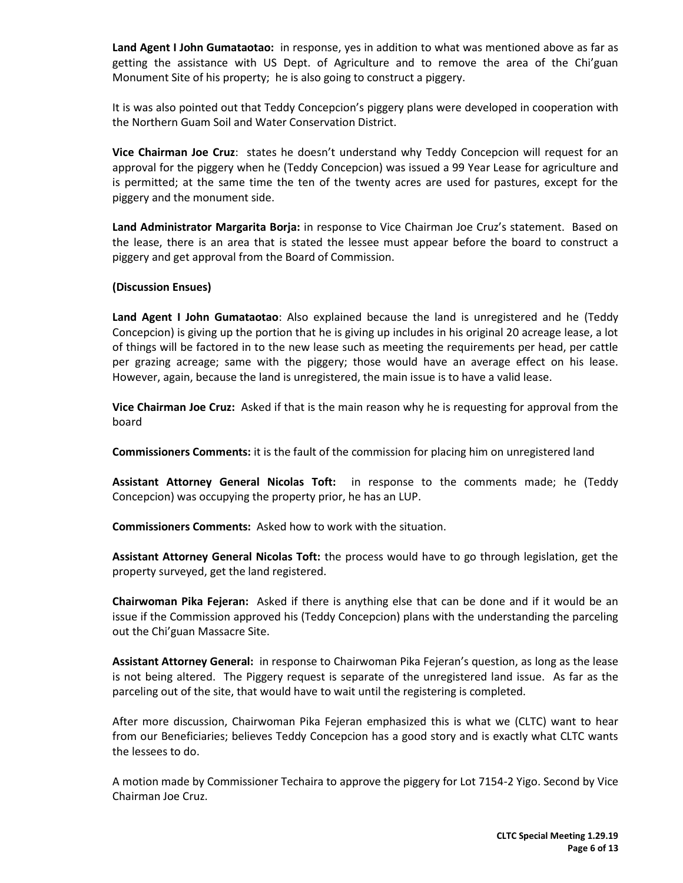**Land Agent I John Gumataotao:** in response, yes in addition to what was mentioned above as far as getting the assistance with US Dept. of Agriculture and to remove the area of the Chi'guan Monument Site of his property; he is also going to construct a piggery.

It is was also pointed out that Teddy Concepcion's piggery plans were developed in cooperation with the Northern Guam Soil and Water Conservation District.

**Vice Chairman Joe Cruz**: states he doesn't understand why Teddy Concepcion will request for an approval for the piggery when he (Teddy Concepcion) was issued a 99 Year Lease for agriculture and is permitted; at the same time the ten of the twenty acres are used for pastures, except for the piggery and the monument side.

**Land Administrator Margarita Borja:** in response to Vice Chairman Joe Cruz's statement. Based on the lease, there is an area that is stated the lessee must appear before the board to construct a piggery and get approval from the Board of Commission.

# **(Discussion Ensues)**

**Land Agent I John Gumataotao**: Also explained because the land is unregistered and he (Teddy Concepcion) is giving up the portion that he is giving up includes in his original 20 acreage lease, a lot of things will be factored in to the new lease such as meeting the requirements per head, per cattle per grazing acreage; same with the piggery; those would have an average effect on his lease. However, again, because the land is unregistered, the main issue is to have a valid lease.

**Vice Chairman Joe Cruz:** Asked if that is the main reason why he is requesting for approval from the board

**Commissioners Comments:** it is the fault of the commission for placing him on unregistered land

**Assistant Attorney General Nicolas Toft:** in response to the comments made; he (Teddy Concepcion) was occupying the property prior, he has an LUP.

**Commissioners Comments:** Asked how to work with the situation.

**Assistant Attorney General Nicolas Toft:** the process would have to go through legislation, get the property surveyed, get the land registered.

**Chairwoman Pika Fejeran:** Asked if there is anything else that can be done and if it would be an issue if the Commission approved his (Teddy Concepcion) plans with the understanding the parceling out the Chi'guan Massacre Site.

**Assistant Attorney General:** in response to Chairwoman Pika Fejeran's question, as long as the lease is not being altered. The Piggery request is separate of the unregistered land issue. As far as the parceling out of the site, that would have to wait until the registering is completed.

After more discussion, Chairwoman Pika Fejeran emphasized this is what we (CLTC) want to hear from our Beneficiaries; believes Teddy Concepcion has a good story and is exactly what CLTC wants the lessees to do.

A motion made by Commissioner Techaira to approve the piggery for Lot 7154-2 Yigo. Second by Vice Chairman Joe Cruz.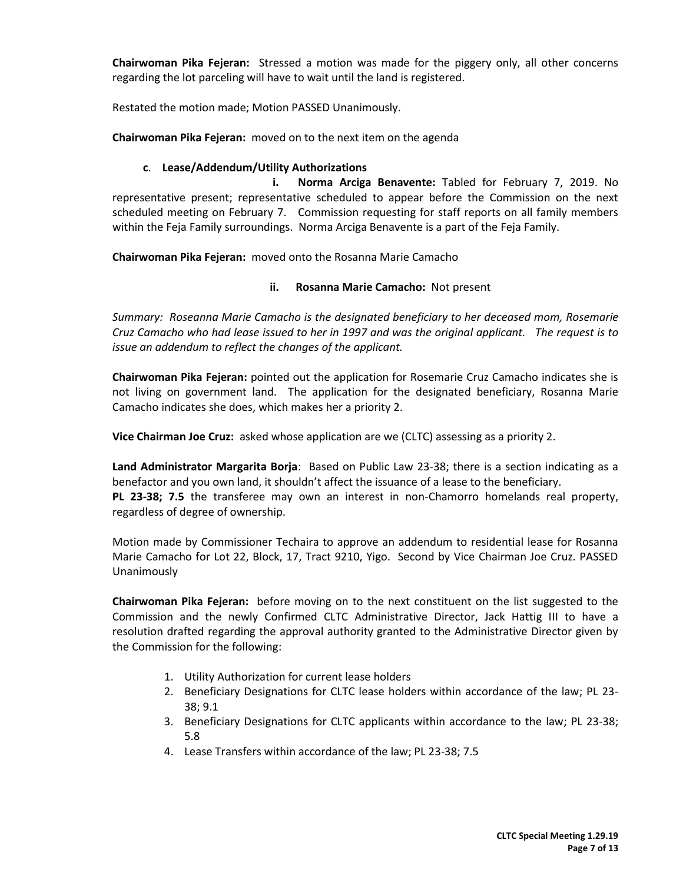**Chairwoman Pika Fejeran:** Stressed a motion was made for the piggery only, all other concerns regarding the lot parceling will have to wait until the land is registered.

Restated the motion made; Motion PASSED Unanimously.

**Chairwoman Pika Fejeran:** moved on to the next item on the agenda

# **c**. **Lease/Addendum/Utility Authorizations**

 **i. Norma Arciga Benavente:** Tabled for February 7, 2019. No representative present; representative scheduled to appear before the Commission on the next scheduled meeting on February 7. Commission requesting for staff reports on all family members within the Feja Family surroundings. Norma Arciga Benavente is a part of the Feja Family.

**Chairwoman Pika Fejeran:** moved onto the Rosanna Marie Camacho

# **ii. Rosanna Marie Camacho:** Not present

*Summary: Roseanna Marie Camacho is the designated beneficiary to her deceased mom, Rosemarie Cruz Camacho who had lease issued to her in 1997 and was the original applicant. The request is to issue an addendum to reflect the changes of the applicant.* 

**Chairwoman Pika Fejeran:** pointed out the application for Rosemarie Cruz Camacho indicates she is not living on government land. The application for the designated beneficiary, Rosanna Marie Camacho indicates she does, which makes her a priority 2.

**Vice Chairman Joe Cruz:** asked whose application are we (CLTC) assessing as a priority 2.

**Land Administrator Margarita Borja**: Based on Public Law 23-38; there is a section indicating as a benefactor and you own land, it shouldn't affect the issuance of a lease to the beneficiary. **PL 23-38; 7.5** the transferee may own an interest in non-Chamorro homelands real property, regardless of degree of ownership.

Motion made by Commissioner Techaira to approve an addendum to residential lease for Rosanna Marie Camacho for Lot 22, Block, 17, Tract 9210, Yigo. Second by Vice Chairman Joe Cruz. PASSED Unanimously

**Chairwoman Pika Fejeran:** before moving on to the next constituent on the list suggested to the Commission and the newly Confirmed CLTC Administrative Director, Jack Hattig III to have a resolution drafted regarding the approval authority granted to the Administrative Director given by the Commission for the following:

- 1. Utility Authorization for current lease holders
- 2. Beneficiary Designations for CLTC lease holders within accordance of the law; PL 23- 38; 9.1
- 3. Beneficiary Designations for CLTC applicants within accordance to the law; PL 23-38; 5.8
- 4. Lease Transfers within accordance of the law; PL 23-38; 7.5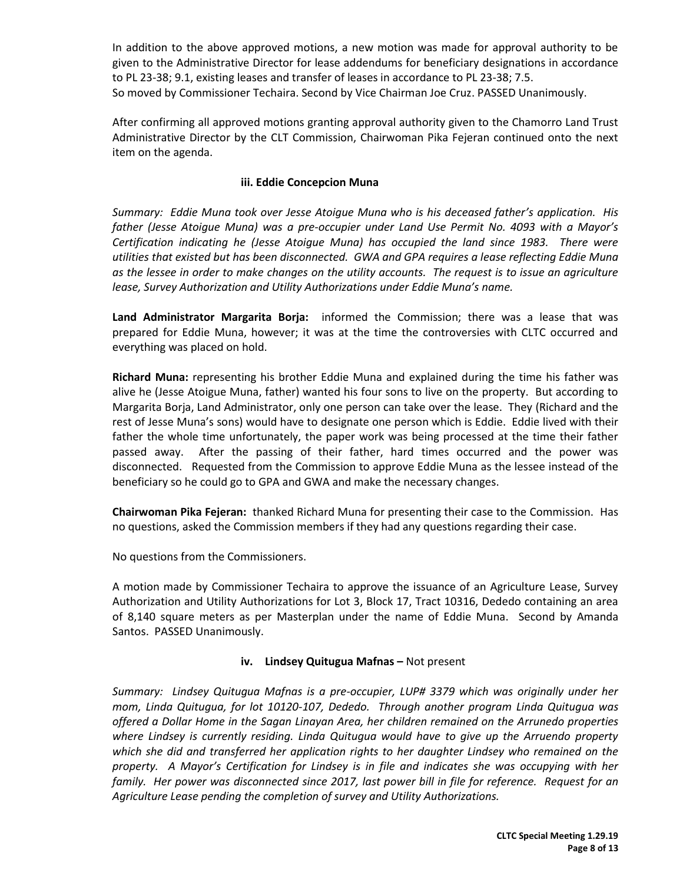In addition to the above approved motions, a new motion was made for approval authority to be given to the Administrative Director for lease addendums for beneficiary designations in accordance to PL 23-38; 9.1, existing leases and transfer of leases in accordance to PL 23-38; 7.5. So moved by Commissioner Techaira. Second by Vice Chairman Joe Cruz. PASSED Unanimously.

After confirming all approved motions granting approval authority given to the Chamorro Land Trust Administrative Director by the CLT Commission, Chairwoman Pika Fejeran continued onto the next item on the agenda.

# **iii. Eddie Concepcion Muna**

*Summary: Eddie Muna took over Jesse Atoigue Muna who is his deceased father's application. His father (Jesse Atoigue Muna) was a pre-occupier under Land Use Permit No. 4093 with a Mayor's Certification indicating he (Jesse Atoigue Muna) has occupied the land since 1983. There were utilities that existed but has been disconnected. GWA and GPA requires a lease reflecting Eddie Muna as the lessee in order to make changes on the utility accounts. The request is to issue an agriculture lease, Survey Authorization and Utility Authorizations under Eddie Muna's name.* 

**Land Administrator Margarita Borja:** informed the Commission; there was a lease that was prepared for Eddie Muna, however; it was at the time the controversies with CLTC occurred and everything was placed on hold.

**Richard Muna:** representing his brother Eddie Muna and explained during the time his father was alive he (Jesse Atoigue Muna, father) wanted his four sons to live on the property. But according to Margarita Borja, Land Administrator, only one person can take over the lease. They (Richard and the rest of Jesse Muna's sons) would have to designate one person which is Eddie. Eddie lived with their father the whole time unfortunately, the paper work was being processed at the time their father passed away. After the passing of their father, hard times occurred and the power was disconnected. Requested from the Commission to approve Eddie Muna as the lessee instead of the beneficiary so he could go to GPA and GWA and make the necessary changes.

**Chairwoman Pika Fejeran:** thanked Richard Muna for presenting their case to the Commission. Has no questions, asked the Commission members if they had any questions regarding their case.

No questions from the Commissioners.

A motion made by Commissioner Techaira to approve the issuance of an Agriculture Lease, Survey Authorization and Utility Authorizations for Lot 3, Block 17, Tract 10316, Dededo containing an area of 8,140 square meters as per Masterplan under the name of Eddie Muna. Second by Amanda Santos. PASSED Unanimously.

# **iv. Lindsey Quitugua Mafnas –** Not present

*Summary: Lindsey Quitugua Mafnas is a pre-occupier, LUP# 3379 which was originally under her mom, Linda Quitugua, for lot 10120-107, Dededo. Through another program Linda Quitugua was offered a Dollar Home in the Sagan Linayan Area, her children remained on the Arrunedo properties where Lindsey is currently residing. Linda Quitugua would have to give up the Arruendo property which she did and transferred her application rights to her daughter Lindsey who remained on the property. A Mayor's Certification for Lindsey is in file and indicates she was occupying with her family. Her power was disconnected since 2017, last power bill in file for reference. Request for an Agriculture Lease pending the completion of survey and Utility Authorizations.*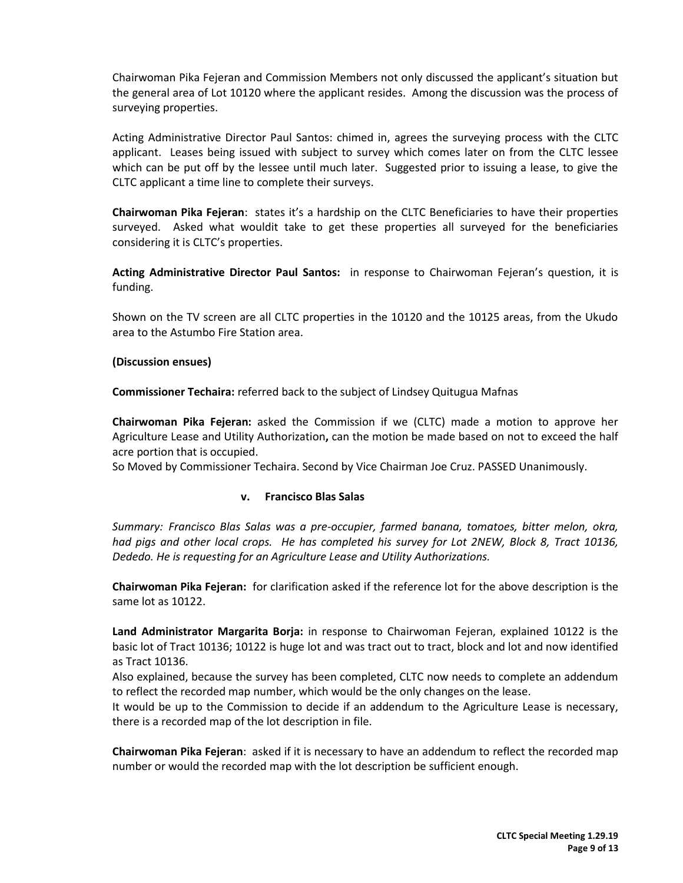Chairwoman Pika Fejeran and Commission Members not only discussed the applicant's situation but the general area of Lot 10120 where the applicant resides. Among the discussion was the process of surveying properties.

Acting Administrative Director Paul Santos: chimed in, agrees the surveying process with the CLTC applicant. Leases being issued with subject to survey which comes later on from the CLTC lessee which can be put off by the lessee until much later. Suggested prior to issuing a lease, to give the CLTC applicant a time line to complete their surveys.

**Chairwoman Pika Fejeran**: states it's a hardship on the CLTC Beneficiaries to have their properties surveyed. Asked what wouldit take to get these properties all surveyed for the beneficiaries considering it is CLTC's properties.

**Acting Administrative Director Paul Santos:** in response to Chairwoman Fejeran's question, it is funding.

Shown on the TV screen are all CLTC properties in the 10120 and the 10125 areas, from the Ukudo area to the Astumbo Fire Station area.

# **(Discussion ensues)**

**Commissioner Techaira:** referred back to the subject of Lindsey Quitugua Mafnas

**Chairwoman Pika Fejeran:** asked the Commission if we (CLTC) made a motion to approve her Agriculture Lease and Utility Authorization**,** can the motion be made based on not to exceed the half acre portion that is occupied.

So Moved by Commissioner Techaira. Second by Vice Chairman Joe Cruz. PASSED Unanimously.

#### **v. Francisco Blas Salas**

*Summary: Francisco Blas Salas was a pre-occupier, farmed banana, tomatoes, bitter melon, okra, had pigs and other local crops. He has completed his survey for Lot 2NEW, Block 8, Tract 10136, Dededo. He is requesting for an Agriculture Lease and Utility Authorizations.* 

**Chairwoman Pika Fejeran:** for clarification asked if the reference lot for the above description is the same lot as 10122.

**Land Administrator Margarita Borja:** in response to Chairwoman Fejeran, explained 10122 is the basic lot of Tract 10136; 10122 is huge lot and was tract out to tract, block and lot and now identified as Tract 10136.

Also explained, because the survey has been completed, CLTC now needs to complete an addendum to reflect the recorded map number, which would be the only changes on the lease.

It would be up to the Commission to decide if an addendum to the Agriculture Lease is necessary, there is a recorded map of the lot description in file.

**Chairwoman Pika Fejeran**: asked if it is necessary to have an addendum to reflect the recorded map number or would the recorded map with the lot description be sufficient enough.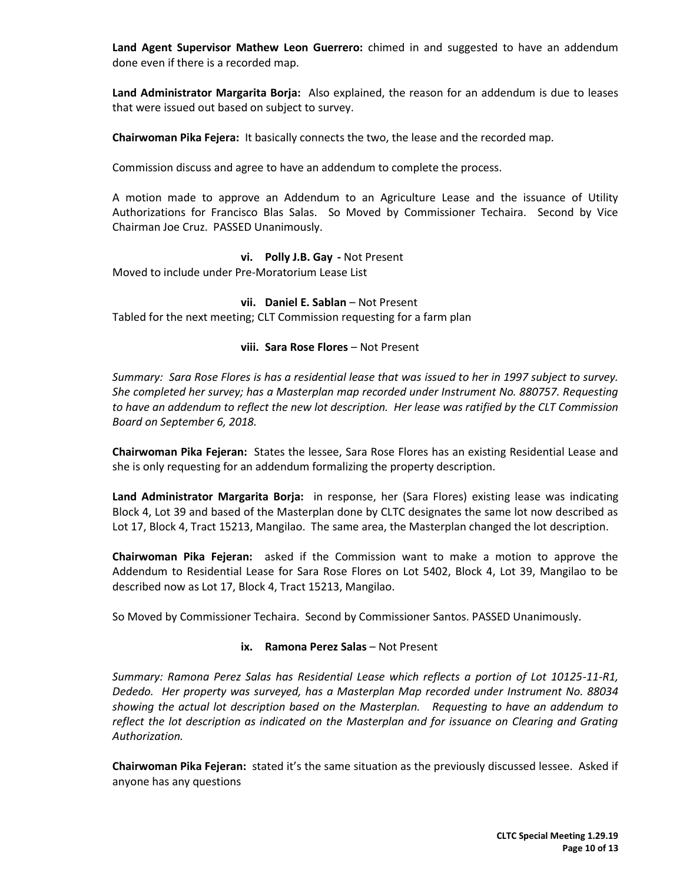**Land Agent Supervisor Mathew Leon Guerrero:** chimed in and suggested to have an addendum done even if there is a recorded map.

**Land Administrator Margarita Borja:** Also explained, the reason for an addendum is due to leases that were issued out based on subject to survey.

**Chairwoman Pika Fejera:** It basically connects the two, the lease and the recorded map.

Commission discuss and agree to have an addendum to complete the process.

A motion made to approve an Addendum to an Agriculture Lease and the issuance of Utility Authorizations for Francisco Blas Salas. So Moved by Commissioner Techaira. Second by Vice Chairman Joe Cruz. PASSED Unanimously.

#### **vi. Polly J.B. Gay -** Not Present

Moved to include under Pre-Moratorium Lease List

#### **vii. Daniel E. Sablan** – Not Present

Tabled for the next meeting; CLT Commission requesting for a farm plan

#### **viii. Sara Rose Flores** – Not Present

*Summary: Sara Rose Flores is has a residential lease that was issued to her in 1997 subject to survey. She completed her survey; has a Masterplan map recorded under Instrument No. 880757. Requesting to have an addendum to reflect the new lot description. Her lease was ratified by the CLT Commission Board on September 6, 2018.* 

**Chairwoman Pika Fejeran:** States the lessee, Sara Rose Flores has an existing Residential Lease and she is only requesting for an addendum formalizing the property description.

**Land Administrator Margarita Borja:** in response, her (Sara Flores) existing lease was indicating Block 4, Lot 39 and based of the Masterplan done by CLTC designates the same lot now described as Lot 17, Block 4, Tract 15213, Mangilao. The same area, the Masterplan changed the lot description.

**Chairwoman Pika Fejeran:** asked if the Commission want to make a motion to approve the Addendum to Residential Lease for Sara Rose Flores on Lot 5402, Block 4, Lot 39, Mangilao to be described now as Lot 17, Block 4, Tract 15213, Mangilao.

So Moved by Commissioner Techaira. Second by Commissioner Santos. PASSED Unanimously.

#### **ix. Ramona Perez Salas** – Not Present

*Summary: Ramona Perez Salas has Residential Lease which reflects a portion of Lot 10125-11-R1, Dededo. Her property was surveyed, has a Masterplan Map recorded under Instrument No. 88034 showing the actual lot description based on the Masterplan. Requesting to have an addendum to reflect the lot description as indicated on the Masterplan and for issuance on Clearing and Grating Authorization.* 

**Chairwoman Pika Fejeran:** stated it's the same situation as the previously discussed lessee. Asked if anyone has any questions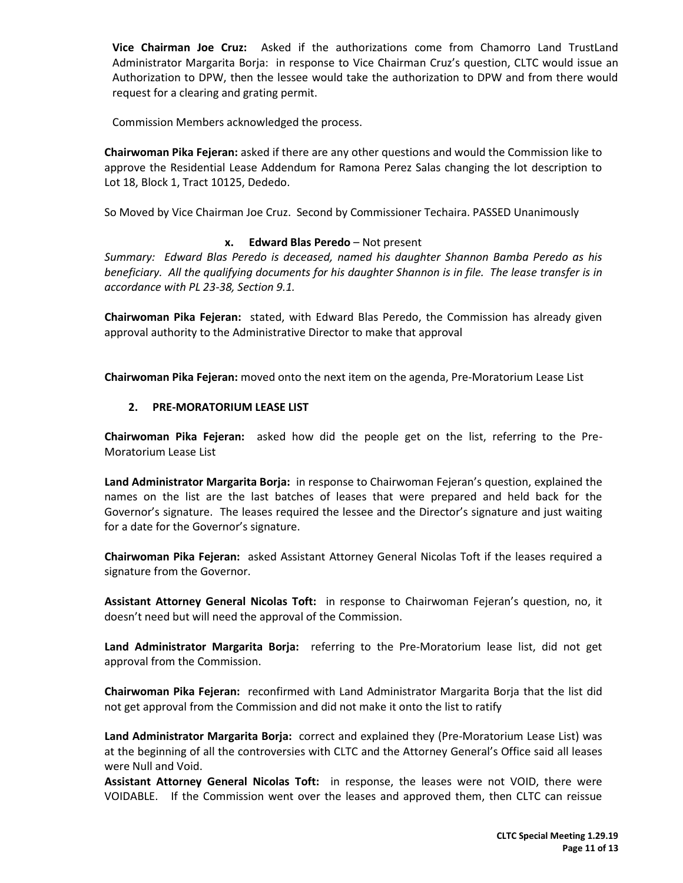**Vice Chairman Joe Cruz:** Asked if the authorizations come from Chamorro Land TrustLand Administrator Margarita Borja: in response to Vice Chairman Cruz's question, CLTC would issue an Authorization to DPW, then the lessee would take the authorization to DPW and from there would request for a clearing and grating permit.

Commission Members acknowledged the process.

**Chairwoman Pika Fejeran:** asked if there are any other questions and would the Commission like to approve the Residential Lease Addendum for Ramona Perez Salas changing the lot description to Lot 18, Block 1, Tract 10125, Dededo.

So Moved by Vice Chairman Joe Cruz. Second by Commissioner Techaira. PASSED Unanimously

# **x. Edward Blas Peredo** – Not present

*Summary: Edward Blas Peredo is deceased, named his daughter Shannon Bamba Peredo as his beneficiary. All the qualifying documents for his daughter Shannon is in file. The lease transfer is in accordance with PL 23-38, Section 9.1.*

**Chairwoman Pika Fejeran:** stated, with Edward Blas Peredo, the Commission has already given approval authority to the Administrative Director to make that approval

**Chairwoman Pika Fejeran:** moved onto the next item on the agenda, Pre-Moratorium Lease List

# **2. PRE-MORATORIUM LEASE LIST**

**Chairwoman Pika Fejeran:** asked how did the people get on the list, referring to the Pre-Moratorium Lease List

**Land Administrator Margarita Borja:** in response to Chairwoman Fejeran's question, explained the names on the list are the last batches of leases that were prepared and held back for the Governor's signature. The leases required the lessee and the Director's signature and just waiting for a date for the Governor's signature.

**Chairwoman Pika Fejeran:** asked Assistant Attorney General Nicolas Toft if the leases required a signature from the Governor.

**Assistant Attorney General Nicolas Toft:** in response to Chairwoman Fejeran's question, no, it doesn't need but will need the approval of the Commission.

**Land Administrator Margarita Borja:** referring to the Pre-Moratorium lease list, did not get approval from the Commission.

**Chairwoman Pika Fejeran:** reconfirmed with Land Administrator Margarita Borja that the list did not get approval from the Commission and did not make it onto the list to ratify

**Land Administrator Margarita Borja:** correct and explained they (Pre-Moratorium Lease List) was at the beginning of all the controversies with CLTC and the Attorney General's Office said all leases were Null and Void.

**Assistant Attorney General Nicolas Toft:** in response, the leases were not VOID, there were VOIDABLE. If the Commission went over the leases and approved them, then CLTC can reissue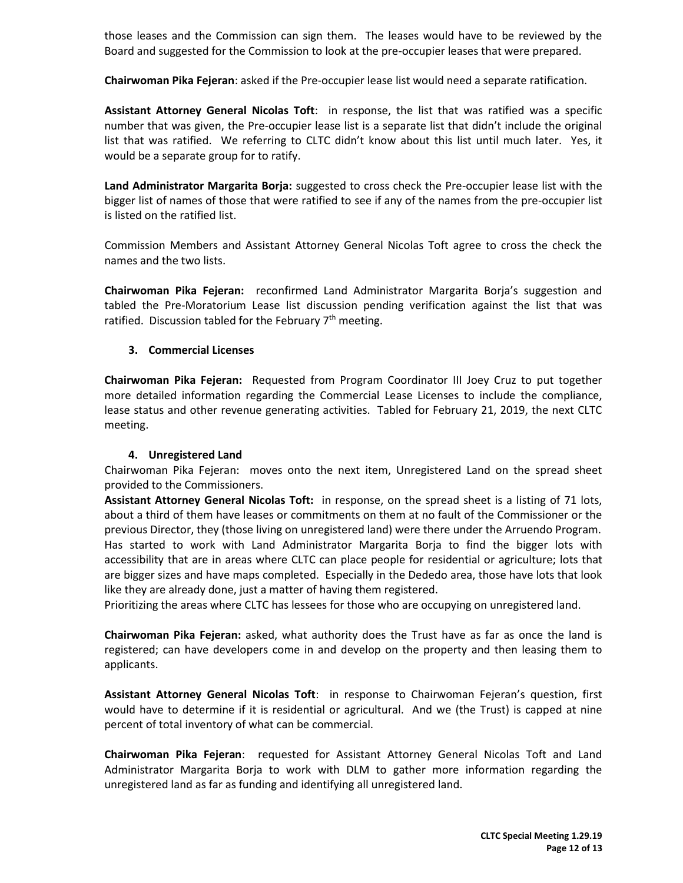those leases and the Commission can sign them. The leases would have to be reviewed by the Board and suggested for the Commission to look at the pre-occupier leases that were prepared.

**Chairwoman Pika Fejeran**: asked if the Pre-occupier lease list would need a separate ratification.

**Assistant Attorney General Nicolas Toft**: in response, the list that was ratified was a specific number that was given, the Pre-occupier lease list is a separate list that didn't include the original list that was ratified. We referring to CLTC didn't know about this list until much later. Yes, it would be a separate group for to ratify.

**Land Administrator Margarita Borja:** suggested to cross check the Pre-occupier lease list with the bigger list of names of those that were ratified to see if any of the names from the pre-occupier list is listed on the ratified list.

Commission Members and Assistant Attorney General Nicolas Toft agree to cross the check the names and the two lists.

**Chairwoman Pika Fejeran:** reconfirmed Land Administrator Margarita Borja's suggestion and tabled the Pre-Moratorium Lease list discussion pending verification against the list that was ratified. Discussion tabled for the February  $7<sup>th</sup>$  meeting.

# **3. Commercial Licenses**

**Chairwoman Pika Fejeran:** Requested from Program Coordinator III Joey Cruz to put together more detailed information regarding the Commercial Lease Licenses to include the compliance, lease status and other revenue generating activities. Tabled for February 21, 2019, the next CLTC meeting.

#### **4. Unregistered Land**

Chairwoman Pika Fejeran: moves onto the next item, Unregistered Land on the spread sheet provided to the Commissioners.

**Assistant Attorney General Nicolas Toft:** in response, on the spread sheet is a listing of 71 lots, about a third of them have leases or commitments on them at no fault of the Commissioner or the previous Director, they (those living on unregistered land) were there under the Arruendo Program. Has started to work with Land Administrator Margarita Borja to find the bigger lots with accessibility that are in areas where CLTC can place people for residential or agriculture; lots that are bigger sizes and have maps completed. Especially in the Dededo area, those have lots that look like they are already done, just a matter of having them registered.

Prioritizing the areas where CLTC has lessees for those who are occupying on unregistered land.

**Chairwoman Pika Fejeran:** asked, what authority does the Trust have as far as once the land is registered; can have developers come in and develop on the property and then leasing them to applicants.

**Assistant Attorney General Nicolas Toft**: in response to Chairwoman Fejeran's question, first would have to determine if it is residential or agricultural. And we (the Trust) is capped at nine percent of total inventory of what can be commercial.

**Chairwoman Pika Fejeran**: requested for Assistant Attorney General Nicolas Toft and Land Administrator Margarita Borja to work with DLM to gather more information regarding the unregistered land as far as funding and identifying all unregistered land.